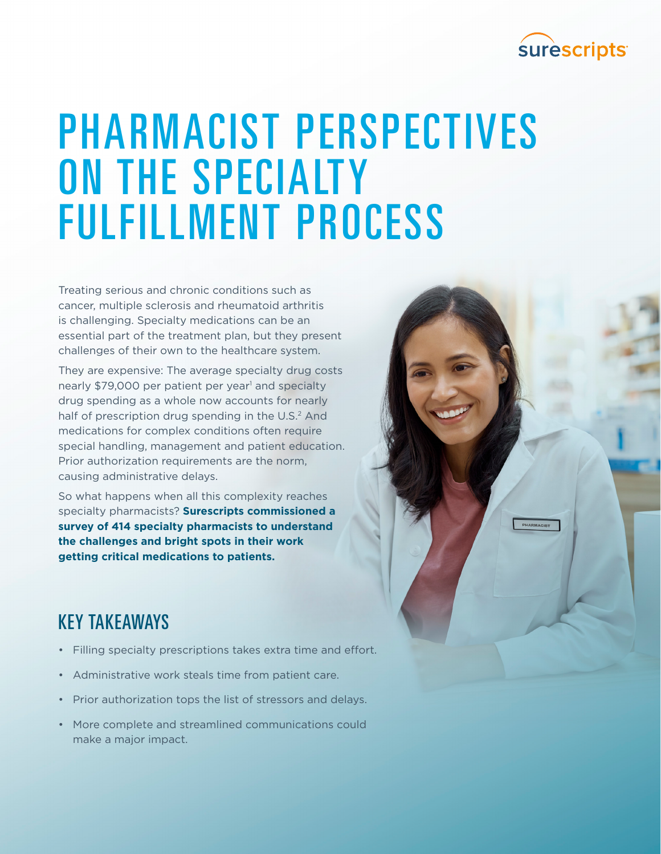

PHARMACIST

# PHARMACIST PERSPECTIVES ON THE SPECIALTY FULFILLMENT PROCESS

Treating serious and chronic conditions such as cancer, multiple sclerosis and rheumatoid arthritis is challenging. Specialty medications can be an essential part of the treatment plan, but they present challenges of their own to the healthcare system.

They are expensive: The average specialty drug costs nearly \$79,000 per patient per year<sup>1</sup> and specialty drug spending as a whole now accounts for nearly half of prescription drug spending in the U.S.<sup>2</sup> And medications for complex conditions often require special handling, management and patient education. Prior authorization requirements are the norm, causing administrative delays.

So what happens when all this complexity reaches specialty pharmacists? **Surescripts commissioned a survey of 414 specialty pharmacists to understand the challenges and bright spots in their work getting critical medications to patients.**

## KEY TAKEAWAYS

- Filling specialty prescriptions takes extra time and effort.
- Administrative work steals time from patient care.
- Prior authorization tops the list of stressors and delays.
- More complete and streamlined communications could make a major impact.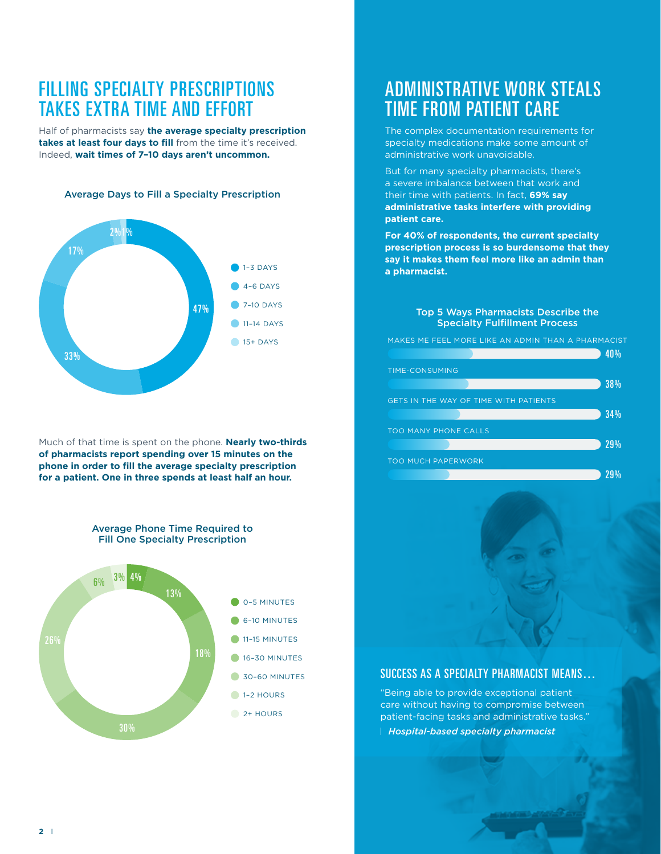## FILLING SPECIALTY PRESCRIPTIONS TAKES EXTRA TIME AND EFFORT

Half of pharmacists say **the average specialty prescription takes at least four days to fill** from the time it's received. Indeed, **wait times of 7–10 days aren't uncommon.** 

#### Average Days to Fill a Specialty Prescription



Much of that time is spent on the phone. **Nearly two-thirds of pharmacists report spending over 15 minutes on the phone in order to fill the average specialty prescription for a patient. One in three spends at least half an hour.**

Average Phone Time Required to



## ADMINISTRATIVE WORK STEALS TIME FROM PATIENT CARE

The complex documentation requirements for specialty medications make some amount of administrative work unavoidable.

But for many specialty pharmacists, there's a severe imbalance between that work and their time with patients. In fact, **69% say administrative tasks interfere with providing patient care.** 

**For 40% of respondents, the current specialty prescription process is so burdensome that they say it makes them feel more like an admin than a pharmacist.**

#### Top 5 Ways Pharmacists Describe the Specialty Fulfillment Process

MAKES ME FEEL MORE LIKE AN ADMIN THAN A PHARMACIST



#### SUCCESS AS A SPECIALTY PHARMACIST MEANS…

*Hospital-based specialty pharmacist* "Being able to provide exceptional patient care without having to compromise between patient-facing tasks and administrative tasks."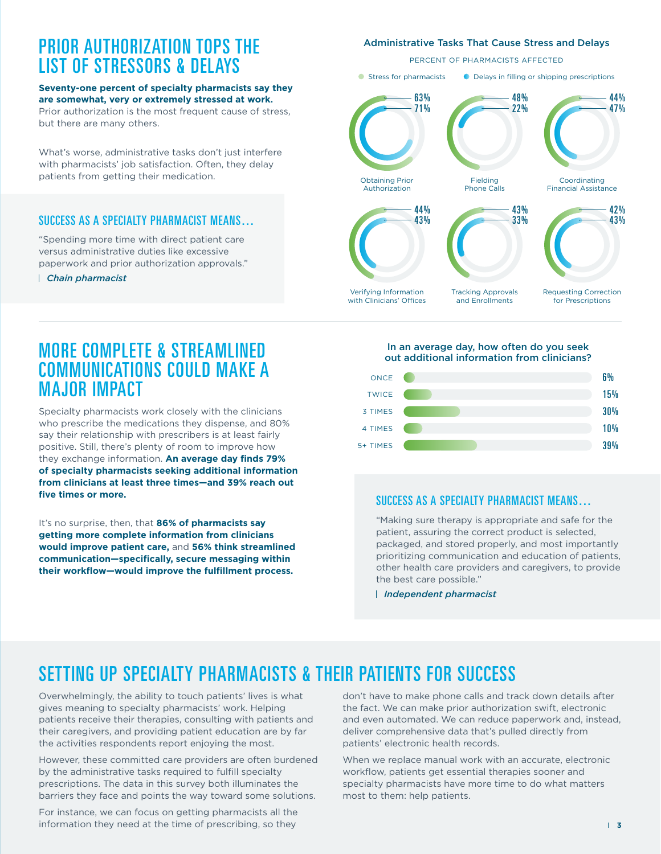## PRIOR AUTHORIZATION TOPS THE LIST OF STRESSORS & DELAYS

**Seventy-one percent of specialty pharmacists say they are somewhat, very or extremely stressed at work.** Prior authorization is the most frequent cause of stress, but there are many others.

What's worse, administrative tasks don't just interfere with pharmacists' job satisfaction. Often, they delay patients from getting their medication.

#### SUCCESS AS A SPECIALTY PHARMACIST MEANS…

"Spending more time with direct patient care versus administrative duties like excessive paperwork and prior authorization approvals."

*Chain pharmacist*

### MORE COMPLETE & STREAMLINED COMMUNICATIONS COULD MAKE A MAJOR IMPACT

Specialty pharmacists work closely with the clinicians who prescribe the medications they dispense, and 80% say their relationship with prescribers is at least fairly positive. Still, there's plenty of room to improve how they exchange information. **An average day finds 79% of specialty pharmacists seeking additional information from clinicians at least three times—and 39% reach out five times or more.**

It's no surprise, then, that **86% of pharmacists say getting more complete information from clinicians would improve patient care,** and **56% think streamlined communication—specifically, secure messaging within their workflow—would improve the fulfillment process.**

#### Administrative Tasks That Cause Stress and Delays

#### PERCENT OF PHARMACISTS AFFECTED

● Stress for pharmacists ● Delays in filling or shipping prescriptions



#### In an average day, how often do you seek out additional information from clinicians?



#### SUCCESS AS A SPECIALTY PHARMACIST MEANS…

"Making sure therapy is appropriate and safe for the patient, assuring the correct product is selected, packaged, and stored properly, and most importantly prioritizing communication and education of patients, other health care providers and caregivers, to provide the best care possible."

*Independent pharmacist*

# SETTING UP SPECIALTY PHARMACISTS & THEIR PATIENTS FOR SUCCESS

Overwhelmingly, the ability to touch patients' lives is what gives meaning to specialty pharmacists' work. Helping patients receive their therapies, consulting with patients and their caregivers, and providing patient education are by far the activities respondents report enjoying the most.

However, these committed care providers are often burdened by the administrative tasks required to fulfill specialty prescriptions. The data in this survey both illuminates the barriers they face and points the way toward some solutions.

For instance, we can focus on getting pharmacists all the information they need at the time of prescribing, so they

don't have to make phone calls and track down details after the fact. We can make prior authorization swift, electronic and even automated. We can reduce paperwork and, instead, deliver comprehensive data that's pulled directly from patients' electronic health records.

When we replace manual work with an accurate, electronic workflow, patients get essential therapies sooner and specialty pharmacists have more time to do what matters most to them: help patients.